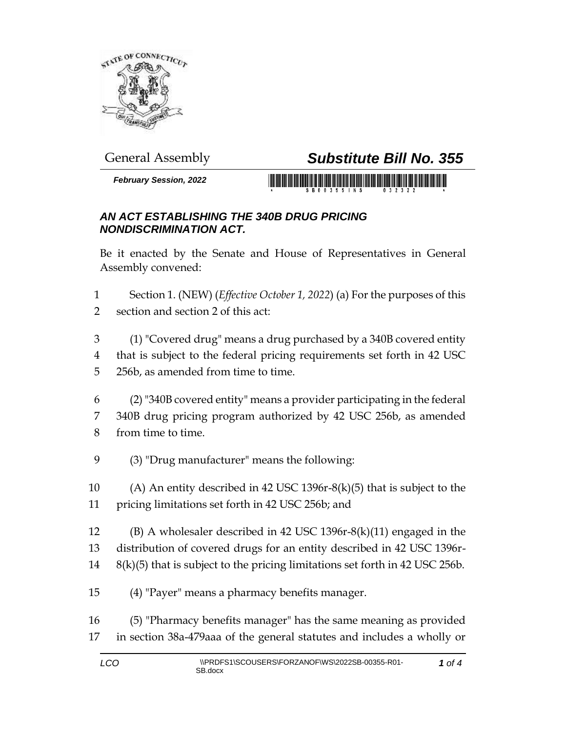

## General Assembly *Substitute Bill No. 355*

*February Session, 2022*



## *AN ACT ESTABLISHING THE 340B DRUG PRICING NONDISCRIMINATION ACT.*

Be it enacted by the Senate and House of Representatives in General Assembly convened:

- Section 1. (NEW) (*Effective October 1, 2022*) (a) For the purposes of this section and section 2 of this act:
- (1) "Covered drug" means a drug purchased by a 340B covered entity that is subject to the federal pricing requirements set forth in 42 USC 256b, as amended from time to time.
- (2) "340B covered entity" means a provider participating in the federal 340B drug pricing program authorized by 42 USC 256b, as amended from time to time.
- (3) "Drug manufacturer" means the following:
- (A) An entity described in 42 USC 1396r-8(k)(5) that is subject to the pricing limitations set forth in 42 USC 256b; and
- (B) A wholesaler described in 42 USC 1396r-8(k)(11) engaged in the distribution of covered drugs for an entity described in 42 USC 1396r-8(k)(5) that is subject to the pricing limitations set forth in 42 USC 256b.
- (4) "Payer" means a pharmacy benefits manager.
- (5) "Pharmacy benefits manager" has the same meaning as provided in section 38a-479aaa of the general statutes and includes a wholly or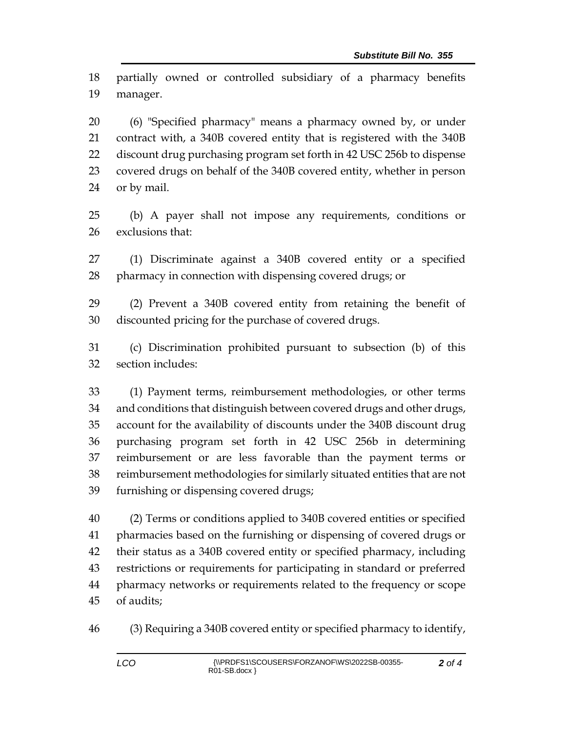partially owned or controlled subsidiary of a pharmacy benefits manager.

 (6) "Specified pharmacy" means a pharmacy owned by, or under contract with, a 340B covered entity that is registered with the 340B discount drug purchasing program set forth in 42 USC 256b to dispense covered drugs on behalf of the 340B covered entity, whether in person or by mail.

 (b) A payer shall not impose any requirements, conditions or exclusions that:

 (1) Discriminate against a 340B covered entity or a specified pharmacy in connection with dispensing covered drugs; or

 (2) Prevent a 340B covered entity from retaining the benefit of discounted pricing for the purchase of covered drugs.

 (c) Discrimination prohibited pursuant to subsection (b) of this section includes:

 (1) Payment terms, reimbursement methodologies, or other terms and conditions that distinguish between covered drugs and other drugs, account for the availability of discounts under the 340B discount drug purchasing program set forth in 42 USC 256b in determining reimbursement or are less favorable than the payment terms or reimbursement methodologies for similarly situated entities that are not furnishing or dispensing covered drugs;

 (2) Terms or conditions applied to 340B covered entities or specified pharmacies based on the furnishing or dispensing of covered drugs or their status as a 340B covered entity or specified pharmacy, including restrictions or requirements for participating in standard or preferred pharmacy networks or requirements related to the frequency or scope of audits;

(3) Requiring a 340B covered entity or specified pharmacy to identify,

*of 4*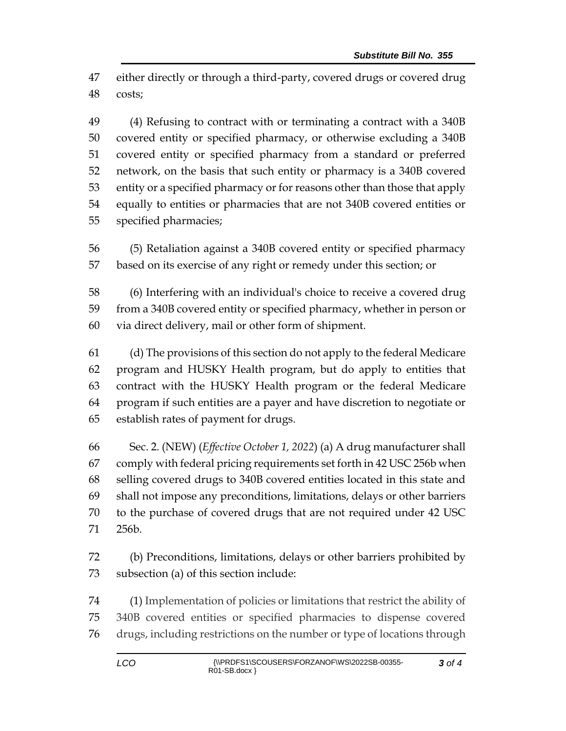either directly or through a third-party, covered drugs or covered drug costs;

 (4) Refusing to contract with or terminating a contract with a 340B covered entity or specified pharmacy, or otherwise excluding a 340B covered entity or specified pharmacy from a standard or preferred network, on the basis that such entity or pharmacy is a 340B covered entity or a specified pharmacy or for reasons other than those that apply equally to entities or pharmacies that are not 340B covered entities or specified pharmacies;

 (5) Retaliation against a 340B covered entity or specified pharmacy based on its exercise of any right or remedy under this section; or

 (6) Interfering with an individual's choice to receive a covered drug from a 340B covered entity or specified pharmacy, whether in person or via direct delivery, mail or other form of shipment.

 (d) The provisions of this section do not apply to the federal Medicare program and HUSKY Health program, but do apply to entities that contract with the HUSKY Health program or the federal Medicare program if such entities are a payer and have discretion to negotiate or establish rates of payment for drugs.

 Sec. 2. (NEW) (*Effective October 1, 2022*) (a) A drug manufacturer shall comply with federal pricing requirements set forth in 42 USC 256b when selling covered drugs to 340B covered entities located in this state and shall not impose any preconditions, limitations, delays or other barriers to the purchase of covered drugs that are not required under 42 USC 256b.

 (b) Preconditions, limitations, delays or other barriers prohibited by subsection (a) of this section include:

 (1) Implementation of policies or limitations that restrict the ability of 340B covered entities or specified pharmacies to dispense covered drugs, including restrictions on the number or type of locations through